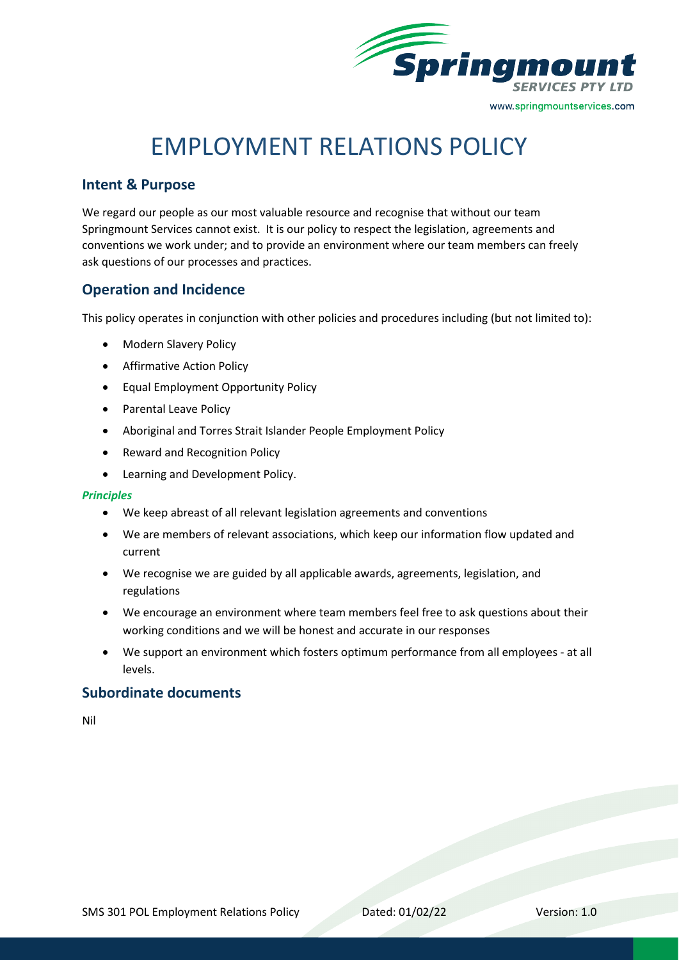

# EMPLOYMENT RELATIONS POLICY

## **Intent & Purpose**

We regard our people as our most valuable resource and recognise that without our team Springmount Services cannot exist. It is our policy to respect the legislation, agreements and conventions we work under; and to provide an environment where our team members can freely ask questions of our processes and practices.

## **Operation and Incidence**

This policy operates in conjunction with other policies and procedures including (but not limited to):

- Modern Slavery Policy
- Affirmative Action Policy
- Equal Employment Opportunity Policy
- Parental Leave Policy
- Aboriginal and Torres Strait Islander People Employment Policy
- Reward and Recognition Policy
- Learning and Development Policy.

#### *Principles*

- We keep abreast of all relevant legislation agreements and conventions
- We are members of relevant associations, which keep our information flow updated and current
- We recognise we are guided by all applicable awards, agreements, legislation, and regulations
- We encourage an environment where team members feel free to ask questions about their working conditions and we will be honest and accurate in our responses
- We support an environment which fosters optimum performance from all employees at all levels.

### **Subordinate documents**

Nil